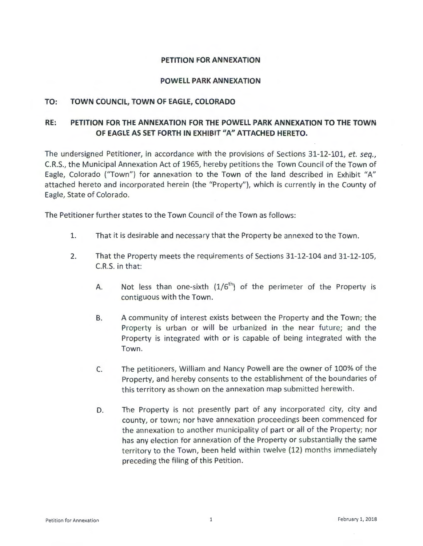### **PETITION FOR ANNEXATION**

#### **POWELL PARK ANNEXATION**

### **TO: TOWN COUNCIL, TOWN OF EAGLE, COLORADO**

# **RE: PETITION FOR THE ANNEXATION FOR THE POWELL PARK ANNEXATION TO THE TOWN OF EAGLE AS SET FORTH IN EXHIBIT <sup>11</sup>A" ATTACHED HERETO.**

The undersigned Petitioner, in accordance with the provisions of Sections 31-12-101, *et. seq.,*  C.R.S., the Municipal Annexation Act of 1965, hereby petitions the Town Council of the Town of Eagle, Colorado ("Town") for annexation to the Town of the land described in Exhibit "A" attached hereto and incorporated herein (the "Property"), which is currently in the County of Eagle, State of Colorado.

The Petitioner further states to the Town Council of the Town as follows:

- 1. That it is desirable and necessary that the Property be annexed to the Town.
- 2. That the Property meets the requirements of Sections 31-12-104 and 31-12-105, C.R.S. in that:
	- A. Not less than one-sixth  $(1/6<sup>th</sup>)$  of the perimeter of the Property is contiguous with the Town.
	- B. A community of interest exists between the Property and the Town; the Property is urban or will be urbanized in the near future; and the Property is integrated with or is capable of being integrated with the Town.
	- c. The petitioners, William and Nancy Powell are the owner of 100% of the Property, and hereby consents to the establishment of the boundaries of this territory as shown on the annexation map submitted herewith.
	- D. The Property is not presently part of any incorporated city, city and county, or town; nor have annexation proceedings been commenced for the annexation to another municipality of part or all of the Property; nor has any election for annexation of the Property or substantially the same territory to the Town, been held within twelve (12) months immediately preceding the filing of this Petition.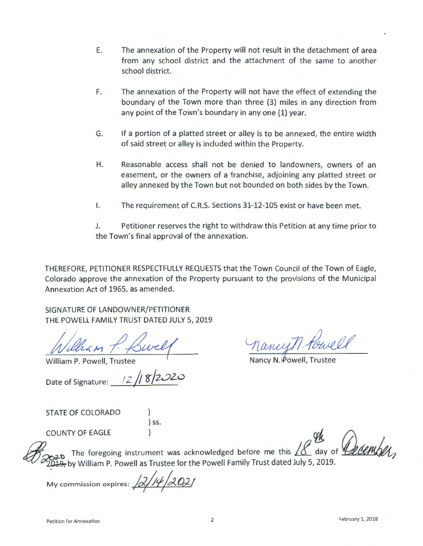- E. The annexation of the Property will not result in the detachment of area from any school district and the attachment of the same to another school district.
- F. The annexation of the Property will not have the effect of extending the boundary of the Town more than three (3) miles in any direction from any point of the Town's boundary in any one (1) year.
- G. If a portion of a platted street or alley is to be annexed, the entire width of said street or alley is included within the Property.
- H. Reasonable access shall not be denied to landowners, owners of an easement, or the owners of a franchise, adjoining any platted street or alley annexed by the Town but not bounded on both sides by the Town.
- I. The requirement of C.R.S. Sections 31-12-105 exist or have been met.

J. Petitioner reserves the right to withdraw this Petition at any time prior to the Town's final approval of the annexation.

THEREFORE, PETITIONER RESPECTFULLY REQUESTS that the Town Council of the Town of Eagle, Colorado approve the annexation of the Property pursuant to the provisions of the Municipal Annexation Act of 1965, as amended.

SIGNATURE OF LANDOWNER/PETITIONER THE POWELL FAMILY TRUST DATED JULY 5, 2019

William 7

William P. Powell, Trustee

Date of Signature: <u>12</u> / 8 2

STATE OF COLORADO

) ss.

 $\alpha$  and  $\alpha$  is  $\alpha$  ( $\alpha$ ) rise.

LflHowell<br>, Trustee

Nancy N. Powell, Trus

0 2020 The William P. Powell as Trustee for the Powell Family Trust dated July 5, 2019. foregoing instrument was acknowledged before me this XX day of *December*,

My commission expires:  $\frac{1}{2}$ /14/2021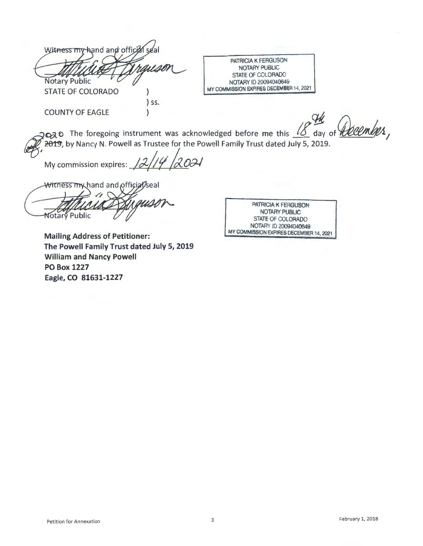| <b>Notary Public</b><br><b>STATE OF COLORADO</b> |     | PATRICIA K FERGUSON<br>NOTARY PUBLIC<br>STATE OF COLORADO<br>NOTARY ID 20094040649<br>MY COMMISSION EXPIRES DECEMBER 14, 2021 |
|--------------------------------------------------|-----|-------------------------------------------------------------------------------------------------------------------------------|
|                                                  | SS. |                                                                                                                               |
| <b>COUNTY OF EAGLE</b>                           |     |                                                                                                                               |

2020 The foregoing instrument was acknowledged before me this <u>18</u> day of **11600 mlg/s**, 2019, by Nancy N. Powell as Trustee for the Powell Family Trust dated July 5, 2019.

My commission expires:  $\frac{12}{14}$   $\frac{2021}{ }$ 

Witness my hand and official/seal Notary Public

*1* 

**Mailing Address of Petitioner: The Powell Family Trust dated July 5, 2019 William and Nancy Powell PO Box 1227 Eagle, CO 81631-1227** 

PATRICIA K FERGUSON NOTARY PUBLIC STATE OF COLORADO NOTARY ID 20094040649 MY COMMISSION EXPIRES DECEMBER 14, 2021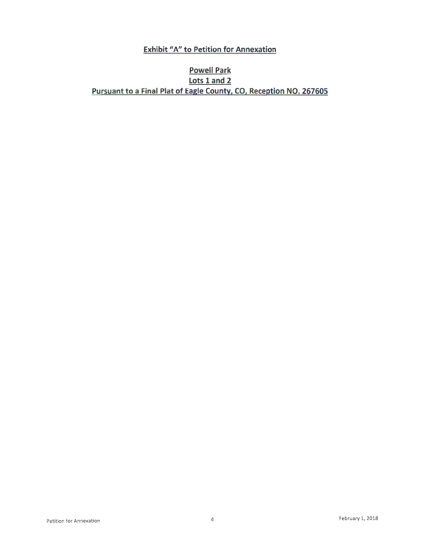# **Exhibit "A" to Petition for Annexation**

# **Powell Park Lots 1 and 2 Pursuant to a Final Plat of Eagle County, CO, Reception NO. 267605**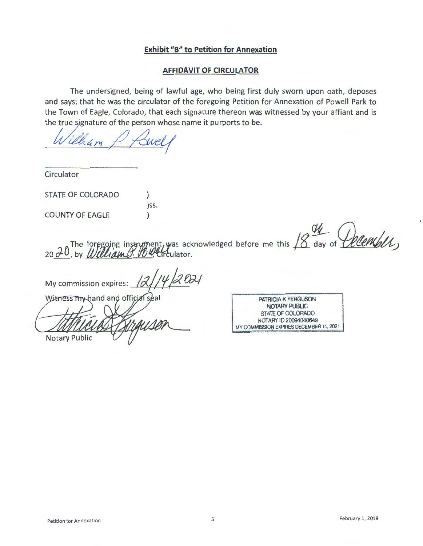## **Exhibit "B" to Petition for Annexation**

#### **AFFIDAVIT OF CIRCULATOR**

The undersigned, being of lawful age, who being first duly sworn upon oath, deposes and says: that he was the circulator of the foregoing Petition for Annexation of Powell Park to the Town of Eagle, Colorado, that each signature thereon was witnessed by your affiant and is the true signature of the person the Town of Eagle, Colorado, that each signature thereon was witnessed by your affiant and is

Circulator

STATE OF COLORADO

COUNTY OF EAGLE

 $\lambda$ )ss. )

 $20$   $\sigma$ by  $\mu$ foregoing instrument foregoing instrument, was acknowledged before me this <sup>18</sup> day of *Detembly*,

 $2021$ My commission expires:

Witness my hand and official seal

**Notary Public** 

PATRICIA K FERGUSON NOTARY PUBLIC STATE OF COLORADO NOTARY 10 20094040649 MY COMMISSION EXPIRES DECEMBER 14, 2021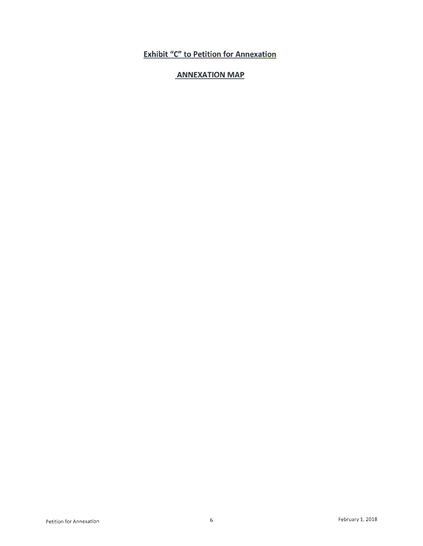# **Exhibit "C" to Petition for Annexation**

# **ANNEXATION MAP**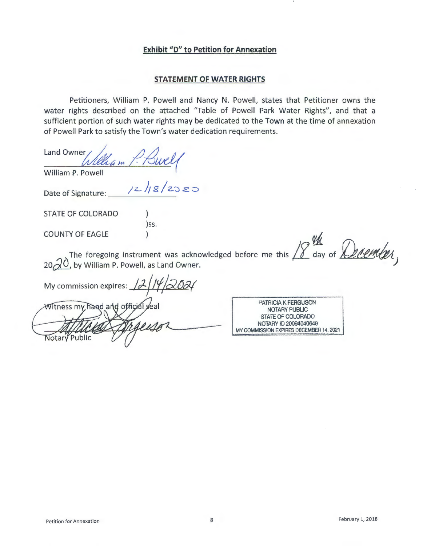## **Exhibit "D" to Petition for Annexation**

#### **STATEMENT OF WATER RIGHTS**

Petitioners, William P. Powell and Nancy N. Powell, states that Petitioner owns the water rights described on the attached "Table of Powell Park Water Rights", and that a sufficient portion of such water rights may be dedicated to the Town at the time of annexation of Powell Park to satisfy the Town's water dedication requirements.

Land Owner William P. Bwel

William P. Powell

 $x$  william P. Power:<br>Date of Signature:  $\frac{1}{2}$  /2  $\frac{1}{8}$  / 2  $\frac{1}{2}$  2  $\frac{1}{2}$ 

)ss.  $\lambda$ 

STATE OF COLORADO

COUNTY OF EAGLE

The foregoing instrument was acknowledged before me this  $20\sqrt{20}$ , by William P. Powell, as Land Owner. before me this  $18$  day of  $\mathcal{D}$  *rember*,

My commission expires: 12

Witness my hand and official seal Notary Public

PATRICIA K FERGUSON NOTARY PUBLIC STATE OF COLORADO NOTARY ID 20094040649 MY COMMISSION EXPIRES DECEMBER 14, 2021